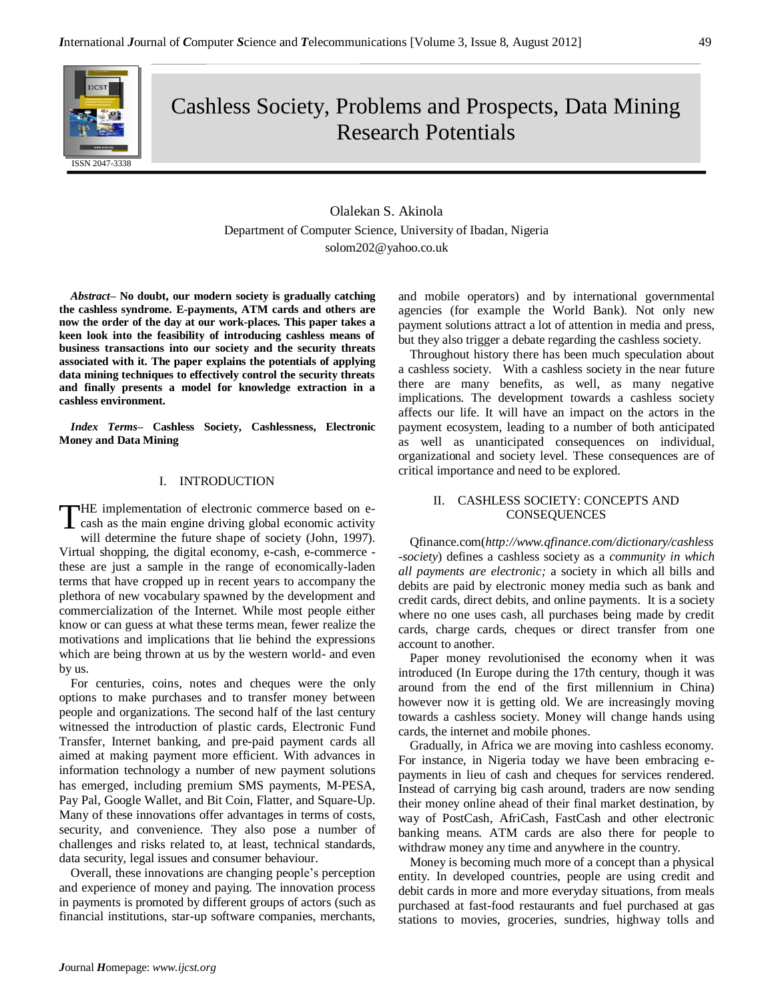

Cashless Society, Problems and Prospects, Data Mining Research Potentials

> Olalekan S. Akinola Department of Computer Science, University of Ibadan, Nigeria solom202@yahoo.co.uk

*Abstract–* **No doubt, our modern society is gradually catching the cashless syndrome. E-payments, ATM cards and others are now the order of the day at our work-places. This paper takes a keen look into the feasibility of introducing cashless means of business transactions into our society and the security threats associated with it. The paper explains the potentials of applying data mining techniques to effectively control the security threats and finally presents a model for knowledge extraction in a cashless environment.**

*Index Terms–* **Cashless Society, Cashlessness, Electronic Money and Data Mining**

# I. INTRODUCTION

HE implementation of electronic commerce based on e-THE implementation of electronic commerce based on e-<br>cash as the main engine driving global economic activity will determine the future shape of society (John, 1997). Virtual shopping, the digital economy, e-cash, e-commerce these are just a sample in the range of economically-laden terms that have cropped up in recent years to accompany the plethora of new vocabulary spawned by the development and commercialization of the Internet. While most people either know or can guess at what these terms mean, fewer realize the motivations and implications that lie behind the expressions which are being thrown at us by the western world- and even by us.

For centuries, coins, notes and cheques were the only options to make purchases and to transfer money between people and organizations. The second half of the last century witnessed the introduction of plastic cards, Electronic Fund Transfer, Internet banking, and pre-paid payment cards all aimed at making payment more efficient. With advances in information technology a number of new payment solutions has emerged, including premium SMS payments, M‐PESA, Pay Pal, Google Wallet, and Bit Coin, Flatter, and Square-Up. Many of these innovations offer advantages in terms of costs, security, and convenience. They also pose a number of challenges and risks related to, at least, technical standards, data security, legal issues and consumer behaviour.

Overall, these innovations are changing people's perception and experience of money and paying. The innovation process in payments is promoted by different groups of actors (such as financial institutions, star-up software companies, merchants, and mobile operators) and by international governmental agencies (for example the World Bank). Not only new payment solutions attract a lot of attention in media and press, but they also trigger a debate regarding the cashless society.

Throughout history there has been much speculation about a cashless society. With a cashless society in the near future there are many benefits, as well, as many negative implications. The development towards a cashless society affects our life. It will have an impact on the actors in the payment ecosystem, leading to a number of both anticipated as well as unanticipated consequences on individual, organizational and society level. These consequences are of critical importance and need to be explored.

# II. CASHLESS SOCIETY: CONCEPTS AND **CONSEQUENCES**

Qfinance.com(*http://www.qfinance.com/dictionary/cashless -society*) defines a cashless society as a *community in which all payments are electronic;* a society in which all bills and debits are paid by electronic money media such as bank and credit cards, direct debits, and online payments. It is a society where no one uses cash, all purchases being made by credit cards, charge cards, cheques or direct transfer from one account to another.

Paper money revolutionised the economy when it was introduced (In Europe during the 17th century, though it was around from the end of the first millennium in China) however now it is getting old. We are increasingly moving towards a cashless society. Money will change hands using cards, the internet and mobile phones.

Gradually, in Africa we are moving into cashless economy. For instance, in Nigeria today we have been embracing epayments in lieu of cash and cheques for services rendered. Instead of carrying big cash around, traders are now sending their money online ahead of their final market destination, by way of PostCash, AfriCash, FastCash and other electronic banking means. ATM cards are also there for people to withdraw money any time and anywhere in the country.

Money is becoming much more of a concept than a physical entity. In developed countries, people are using credit and debit cards in more and more everyday situations, from meals purchased at fast-food restaurants and fuel purchased at gas stations to movies, groceries, sundries, highway tolls and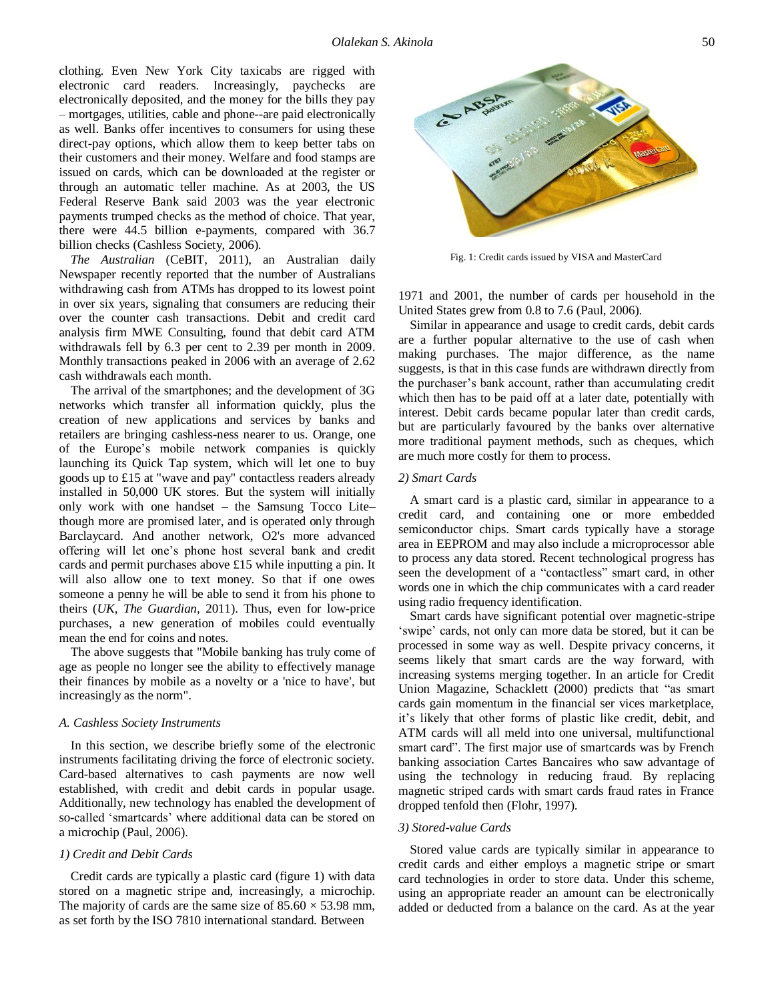clothing. Even New York City taxicabs are rigged with electronic card readers. Increasingly, paychecks are electronically deposited, and the money for the bills they pay – mortgages, utilities, cable and phone--are paid electronically as well. Banks offer incentives to consumers for using these direct-pay options, which allow them to keep better tabs on their customers and their money. Welfare and food stamps are issued on cards, which can be downloaded at the register or through an automatic teller machine. As at 2003, the US Federal Reserve Bank said 2003 was the year electronic payments trumped checks as the method of choice. That year, there were 44.5 billion e-payments, compared with 36.7 billion checks (Cashless Society, 2006).

*The Australian* (CeBIT, 2011), an Australian daily Newspaper recently reported that the number of Australians withdrawing cash from ATMs has dropped to its lowest point in over six years, signaling that consumers are reducing their over the counter cash transactions. Debit and credit card analysis firm MWE Consulting, found that debit card ATM withdrawals fell by 6.3 per cent to 2.39 per month in 2009. Monthly transactions peaked in 2006 with an average of 2.62 cash withdrawals each month.

The arrival of the smartphones; and the development of 3G networks which transfer all information quickly, plus the creation of new applications and services by banks and retailers are bringing cashless-ness nearer to us. Orange, one of the Europe's mobile network companies is quickly launching its Quick Tap system, which will let one to buy goods up to £15 at "wave and pay" contactless readers already installed in 50,000 UK stores. But the system will initially only work with one handset – the Samsung Tocco Lite– though more are promised later, and is operated only through Barclaycard. And another network, O2's more advanced offering will let one's phone host several bank and credit cards and permit purchases above £15 while inputting a pin. It will also allow one to text money. So that if one owes someone a penny he will be able to send it from his phone to theirs (*UK, The Guardian,* 2011). Thus, even for low-price purchases, a new generation of mobiles could eventually mean the end for coins and notes.

The above suggests that "Mobile banking has truly come of age as people no longer see the ability to effectively manage their finances by mobile as a novelty or a 'nice to have', but increasingly as the norm".

#### *A. Cashless Society Instruments*

In this section, we describe briefly some of the electronic instruments facilitating driving the force of electronic society. Card-based alternatives to cash payments are now well established, with credit and debit cards in popular usage. Additionally, new technology has enabled the development of so-called 'smartcards' where additional data can be stored on a microchip (Paul, 2006).

## *1) Credit and Debit Cards*

Credit cards are typically a plastic card (figure 1) with data stored on a magnetic stripe and, increasingly, a microchip. The majority of cards are the same size of  $85.60 \times 53.98$  mm, as set forth by the ISO 7810 international standard. Between



Fig. 1: Credit cards issued by VISA and MasterCard

1971 and 2001, the number of cards per household in the United States grew from 0.8 to 7.6 (Paul, 2006).

Similar in appearance and usage to credit cards, debit cards are a further popular alternative to the use of cash when making purchases. The major difference, as the name suggests, is that in this case funds are withdrawn directly from the purchaser's bank account, rather than accumulating credit which then has to be paid off at a later date, potentially with interest. Debit cards became popular later than credit cards, but are particularly favoured by the banks over alternative more traditional payment methods, such as cheques, which are much more costly for them to process.

#### *2) Smart Cards*

A smart card is a plastic card, similar in appearance to a credit card, and containing one or more embedded semiconductor chips. Smart cards typically have a storage area in EEPROM and may also include a microprocessor able to process any data stored. Recent technological progress has seen the development of a "contactless" smart card, in other words one in which the chip communicates with a card reader using radio frequency identification.

Smart cards have significant potential over magnetic-stripe 'swipe' cards, not only can more data be stored, but it can be processed in some way as well. Despite privacy concerns, it seems likely that smart cards are the way forward, with increasing systems merging together. In an article for Credit Union Magazine, Schacklett (2000) predicts that "as smart cards gain momentum in the financial ser vices marketplace, it's likely that other forms of plastic like credit, debit, and ATM cards will all meld into one universal, multifunctional smart card". The first major use of smartcards was by French banking association Cartes Bancaires who saw advantage of using the technology in reducing fraud. By replacing magnetic striped cards with smart cards fraud rates in France dropped tenfold then (Flohr, 1997).

#### *3) Stored-value Cards*

Stored value cards are typically similar in appearance to credit cards and either employs a magnetic stripe or smart card technologies in order to store data. Under this scheme, using an appropriate reader an amount can be electronically added or deducted from a balance on the card. As at the year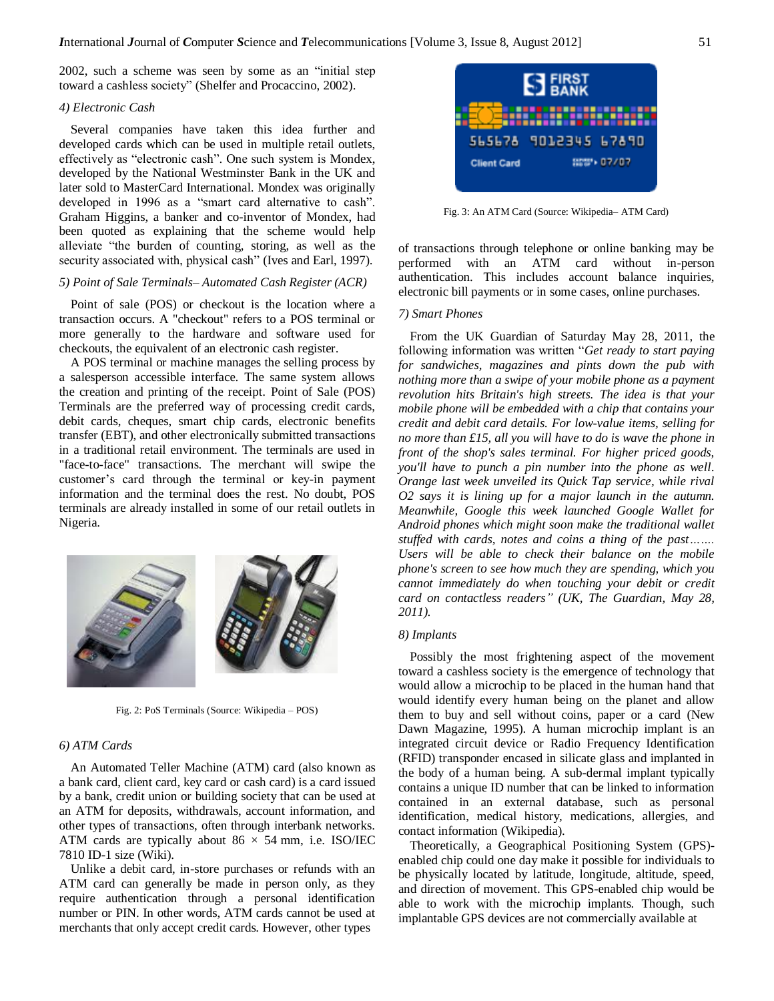2002, such a scheme was seen by some as an "initial step toward a cashless society" (Shelfer and Procaccino, 2002).

#### *4) Electronic Cash*

Several companies have taken this idea further and developed cards which can be used in multiple retail outlets, effectively as "electronic cash". One such system is Mondex, developed by the National Westminster Bank in the UK and later sold to MasterCard International. Mondex was originally developed in 1996 as a "smart card alternative to cash". Graham Higgins, a banker and co-inventor of Mondex, had been quoted as explaining that the scheme would help alleviate "the burden of counting, storing, as well as the security associated with, physical cash" (Ives and Earl, 1997).

## *5) Point of Sale Terminals– Automated Cash Register (ACR)*

Point of sale (POS) or checkout is the location where a transaction occurs. A "checkout" refers to a POS terminal or more generally to the hardware and software used for checkouts, the equivalent of an electronic cash register.

A POS terminal or machine manages the selling process by a salesperson accessible interface. The same system allows the creation and printing of the receipt. Point of Sale (POS) Terminals are the preferred way of processing credit cards, debit cards, cheques, smart chip cards, electronic benefits transfer (EBT), and other electronically submitted transactions in a traditional retail environment. The terminals are used in "face-to-face" transactions. The merchant will swipe the customer's card through the terminal or key-in payment information and the terminal does the rest. No doubt, POS terminals are already installed in some of our retail outlets in Nigeria.



Fig. 2: PoS Terminals (Source: Wikipedia – POS)

#### *6) ATM Cards*

An Automated Teller Machine (ATM) card (also known as a bank card, client card, key card or cash card) is a card issued by a bank, credit union or building society that can be used at an ATM for deposits, withdrawals, account information, and other types of transactions, often through interbank networks. ATM cards are typically about  $86 \times 54$  mm, i.e. ISO/IEC 7810 ID-1 size (Wiki).

Unlike a debit card, in-store purchases or refunds with an ATM card can generally be made in person only, as they require authentication through a personal identification number or PIN. In other words, ATM cards cannot be used at merchants that only accept credit cards. However, other types



Fig. 3: An ATM Card (Source: Wikipedia– ATM Card)

of transactions through telephone or online banking may be performed with an ATM card without in-person authentication. This includes account balance inquiries, electronic bill payments or in some cases, online purchases.

### *7) Smart Phones*

From the UK Guardian of Saturday May 28, 2011, the following information was written "Get ready to start paying *for sandwiches, magazines and pints down the pub with nothing more than a swipe of your mobile phone as a payment revolution hits Britain's high streets. The idea is that your mobile phone will be embedded with a chip that contains your credit and debit card details. For low-value items, selling for no more than £15, all you will have to do is wave the phone in front of the shop's sales terminal. For higher priced goods, you'll have to punch a pin number into the phone as well. Orange last week unveiled its Quick Tap service, while rival O2 says it is lining up for a major launch in the autumn. Meanwhile, Google this week launched Google Wallet for Android phones which might soon make the traditional wallet stuffed with cards, notes and coins a thing of the past……. Users will be able to check their balance on the mobile phone's screen to see how much they are spending, which you cannot immediately do when touching your debit or credit card on contactless readers" (UK, The Guardian, May 28, 2011).*

#### *8) Implants*

Possibly the most frightening aspect of the movement toward a cashless society is the emergence of technology that would allow a microchip to be placed in the human hand that would identify every human being on the planet and allow them to buy and sell without coins, paper or a card (New Dawn Magazine, 1995). A human microchip implant is an integrated circuit device or Radio Frequency Identification (RFID) transponder encased in silicate glass and implanted in the body of a human being. A sub-dermal implant typically contains a unique ID number that can be linked to information contained in an external database, such as personal identification, medical history, medications, allergies, and contact information (Wikipedia).

Theoretically, a Geographical Positioning System (GPS) enabled chip could one day make it possible for individuals to be physically located by latitude, longitude, altitude, speed, and direction of movement. This GPS-enabled chip would be able to work with the microchip implants. Though, such implantable GPS devices are not commercially available at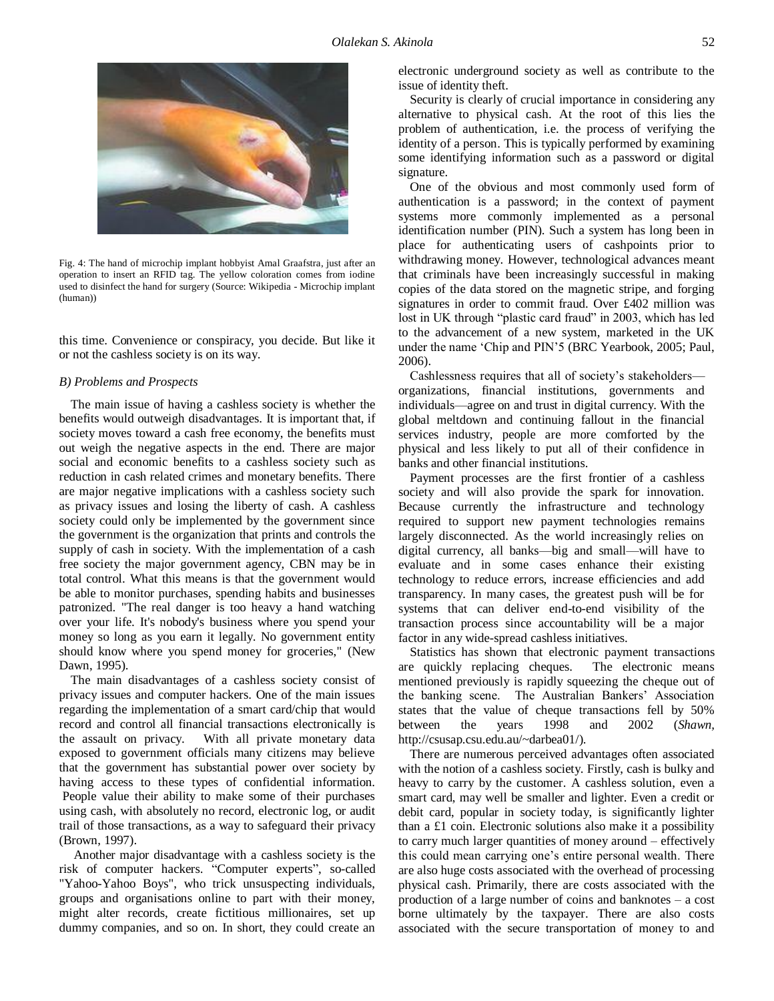

Fig. 4: The hand of microchip implant hobbyist Amal Graafstra, just after an operation to insert an RFID tag. The yellow coloration comes from iodine used to disinfect the hand for surgery (Source: Wikipedia - Microchip implant (human))

this time. Convenience or conspiracy, you decide. But like it or not the cashless society is on its way.

### *B) Problems and Prospects*

The main issue of having a cashless society is whether the benefits would outweigh disadvantages. It is important that, if society moves toward a cash free economy, the benefits must out weigh the negative aspects in the end. There are major social and economic benefits to a cashless society such as reduction in cash related crimes and monetary benefits. There are major negative implications with a cashless society such as privacy issues and losing the liberty of cash. A cashless society could only be implemented by the government since the government is the organization that prints and controls the supply of cash in society. With the implementation of a cash free society the major government agency, CBN may be in total control. What this means is that the government would be able to monitor purchases, spending habits and businesses patronized. "The real danger is too heavy a hand watching over your life. It's nobody's business where you spend your money so long as you earn it legally. No government entity should know where you spend money for groceries," (New Dawn, 1995).

The main disadvantages of a cashless society consist of privacy issues and computer hackers. One of the main issues regarding the implementation of a smart card/chip that would record and control all financial transactions electronically is the assault on privacy. With all private monetary data exposed to government officials many citizens may believe that the government has substantial power over society by having access to these types of confidential information. People value their ability to make some of their purchases using cash, with absolutely no record, electronic log, or audit trail of those transactions, as a way to safeguard their privacy (Brown, 1997).

Another major disadvantage with a cashless society is the risk of computer hackers. "Computer experts", so-called "Yahoo-Yahoo Boys", who trick unsuspecting individuals, groups and organisations online to part with their money, might alter records, create fictitious millionaires, set up dummy companies, and so on. In short, they could create an

electronic underground society as well as contribute to the issue of identity theft.

Security is clearly of crucial importance in considering any alternative to physical cash. At the root of this lies the problem of authentication, i.e. the process of verifying the identity of a person. This is typically performed by examining some identifying information such as a password or digital signature.

One of the obvious and most commonly used form of authentication is a password; in the context of payment systems more commonly implemented as a personal identification number (PIN). Such a system has long been in place for authenticating users of cashpoints prior to withdrawing money. However, technological advances meant that criminals have been increasingly successful in making copies of the data stored on the magnetic stripe, and forging signatures in order to commit fraud. Over £402 million was lost in UK through "plastic card fraud" in 2003, which has led to the advancement of a new system, marketed in the UK under the name 'Chip and PIN'5 (BRC Yearbook, 2005; Paul, 2006).

Cashlessness requires that all of society's stakeholders organizations, financial institutions, governments and individuals—agree on and trust in digital currency. With the global meltdown and continuing fallout in the financial services industry, people are more comforted by the physical and less likely to put all of their confidence in banks and other financial institutions.

Payment processes are the first frontier of a cashless society and will also provide the spark for innovation. Because currently the infrastructure and technology required to support new payment technologies remains largely disconnected. As the world increasingly relies on digital currency, all banks—big and small—will have to evaluate and in some cases enhance their existing technology to reduce errors, increase efficiencies and add transparency. In many cases, the greatest push will be for systems that can deliver end-to-end visibility of the transaction process since accountability will be a major factor in any wide-spread cashless initiatives.

Statistics has shown that electronic payment transactions are quickly replacing cheques. The electronic means mentioned previously is rapidly squeezing the cheque out of the banking scene. The Australian Bankers' Association states that the value of cheque transactions fell by 50% between the years 1998 and 2002 (*Shawn,*  [http://csusap.csu.edu.au/~darbea01/\)](http://csusap.csu.edu.au/~darbea01/).

There are numerous perceived advantages often associated with the notion of a cashless society. Firstly, cash is bulky and heavy to carry by the customer. A cashless solution, even a smart card, may well be smaller and lighter. Even a credit or debit card, popular in society today, is significantly lighter than a £1 coin. Electronic solutions also make it a possibility to carry much larger quantities of money around – effectively this could mean carrying one's entire personal wealth. There are also huge costs associated with the overhead of processing physical cash. Primarily, there are costs associated with the production of a large number of coins and banknotes – a cost borne ultimately by the taxpayer. There are also costs associated with the secure transportation of money to and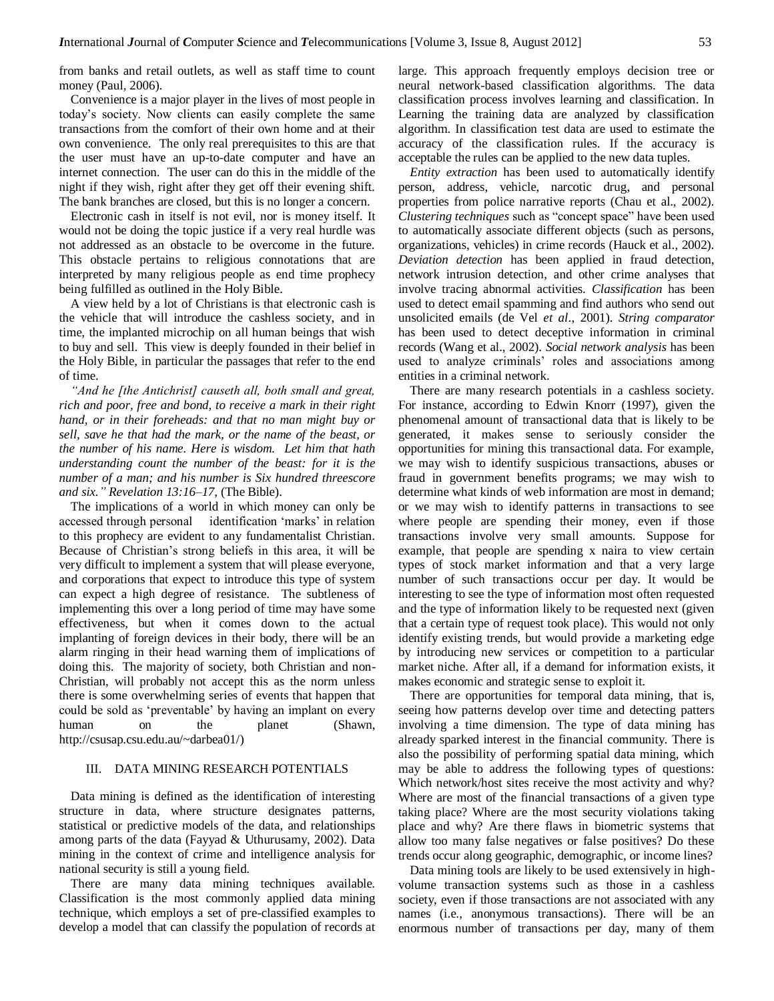from banks and retail outlets, as well as staff time to count money (Paul, 2006).

Convenience is a major player in the lives of most people in today's society. Now clients can easily complete the same transactions from the comfort of their own home and at their own convenience. The only real prerequisites to this are that the user must have an up-to-date computer and have an internet connection. The user can do this in the middle of the night if they wish, right after they get off their evening shift. The bank branches are closed, but this is no longer a concern.

Electronic cash in itself is not evil, nor is money itself. It would not be doing the topic justice if a very real hurdle was not addressed as an obstacle to be overcome in the future. This obstacle pertains to religious connotations that are interpreted by many religious people as end time prophecy being fulfilled as outlined in the Holy Bible.

A view held by a lot of Christians is that electronic cash is the vehicle that will introduce the cashless society, and in time, the implanted microchip on all human beings that wish to buy and sell. This view is deeply founded in their belief in the Holy Bible, in particular the passages that refer to the end of time.

*"And he [the Antichrist] causeth all, both small and great, rich and poor, free and bond, to receive a mark in their right hand, or in their foreheads: and that no man might buy or sell, save he that had the mark, or the name of the beast, or the number of his name. Here is wisdom. Let him that hath understanding count the number of the beast: for it is the number of a man; and his number is Six hundred threescore and six." Revelation 13:16–17,* (The Bible).

The implications of a world in which money can only be accessed through personal identification 'marks' in relation to this prophecy are evident to any fundamentalist Christian. Because of Christian's strong beliefs in this area, it will be very difficult to implement a system that will please everyone, and corporations that expect to introduce this type of system can expect a high degree of resistance. The subtleness of implementing this over a long period of time may have some effectiveness, but when it comes down to the actual implanting of foreign devices in their body, there will be an alarm ringing in their head warning them of implications of doing this. The majority of society, both Christian and non-Christian, will probably not accept this as the norm unless there is some overwhelming series of events that happen that could be sold as 'preventable' by having an implant on every human on the planet (Shawn, http://csusap.csu.edu.au/~darbea01/)

### III. DATA MINING RESEARCH POTENTIALS

Data mining is defined as the identification of interesting structure in data, where structure designates patterns, statistical or predictive models of the data, and relationships among parts of the data (Fayyad & Uthurusamy, 2002). Data mining in the context of crime and intelligence analysis for national security is still a young field.

There are many data mining techniques available. Classification is the most commonly applied data mining technique, which employs a set of pre-classified examples to develop a model that can classify the population of records at

large. This approach frequently employs decision tree or neural network-based classification algorithms. The data classification process involves learning and classification. In Learning the training data are analyzed by classification algorithm. In classification test data are used to estimate the accuracy of the classification rules. If the accuracy is acceptable the rules can be applied to the new data tuples.

*Entity extraction* has been used to automatically identify person, address, vehicle, narcotic drug, and personal properties from police narrative reports (Chau et al., 2002). *Clustering techniques* such as "concept space" have been used to automatically associate different objects (such as persons, organizations, vehicles) in crime records (Hauck et al., 2002). *Deviation detection* has been applied in fraud detection, network intrusion detection, and other crime analyses that involve tracing abnormal activities. *Classification* has been used to detect email spamming and find authors who send out unsolicited emails (de Vel *et al*., 2001). *String comparator*  has been used to detect deceptive information in criminal records (Wang et al., 2002). *Social network analysis* has been used to analyze criminals' roles and associations among entities in a criminal network.

There are many research potentials in a cashless society. For instance, according to Edwin Knorr (1997), given the phenomenal amount of transactional data that is likely to be generated, it makes sense to seriously consider the opportunities for mining this transactional data. For example, we may wish to identify suspicious transactions, abuses or fraud in government benefits programs; we may wish to determine what kinds of web information are most in demand; or we may wish to identify patterns in transactions to see where people are spending their money, even if those transactions involve very small amounts. Suppose for example, that people are spending x naira to view certain types of stock market information and that a very large number of such transactions occur per day. It would be interesting to see the type of information most often requested and the type of information likely to be requested next (given that a certain type of request took place). This would not only identify existing trends, but would provide a marketing edge by introducing new services or competition to a particular market niche. After all, if a demand for information exists, it makes economic and strategic sense to exploit it.

There are opportunities for temporal data mining, that is, seeing how patterns develop over time and detecting patters involving a time dimension. The type of data mining has already sparked interest in the financial community. There is also the possibility of performing spatial data mining, which may be able to address the following types of questions: Which network/host sites receive the most activity and why? Where are most of the financial transactions of a given type taking place? Where are the most security violations taking place and why? Are there flaws in biometric systems that allow too many false negatives or false positives? Do these trends occur along geographic, demographic, or income lines?

Data mining tools are likely to be used extensively in highvolume transaction systems such as those in a cashless society, even if those transactions are not associated with any names (i.e., anonymous transactions). There will be an enormous number of transactions per day, many of them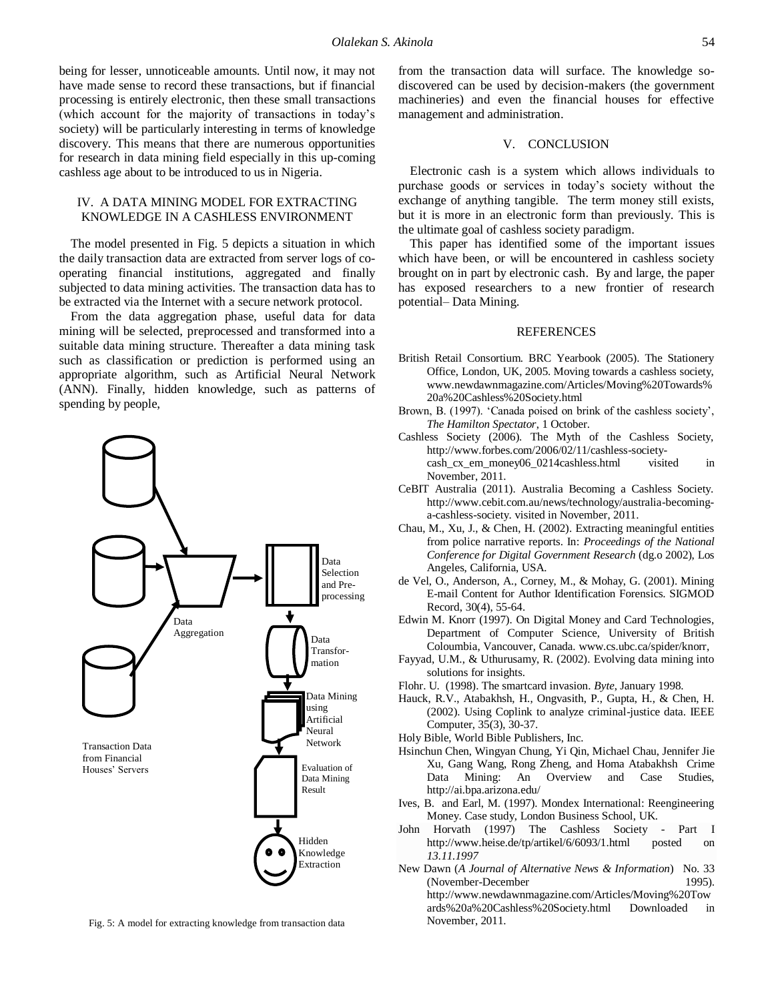being for lesser, unnoticeable amounts. Until now, it may not have made sense to record these transactions, but if financial processing is entirely electronic, then these small transactions (which account for the majority of transactions in today's society) will be particularly interesting in terms of knowledge discovery. This means that there are numerous opportunities for research in data mining field especially in this up-coming cashless age about to be introduced to us in Nigeria.

## IV. A DATA MINING MODEL FOR EXTRACTING KNOWLEDGE IN A CASHLESS ENVIRONMENT

The model presented in Fig. 5 depicts a situation in which the daily transaction data are extracted from server logs of cooperating financial institutions, aggregated and finally subjected to data mining activities. The transaction data has to be extracted via the Internet with a secure network protocol.

From the data aggregation phase, useful data for data mining will be selected, preprocessed and transformed into a suitable data mining structure. Thereafter a data mining task such as classification or prediction is performed using an appropriate algorithm, such as Artificial Neural Network (ANN). Finally, hidden knowledge, such as patterns of spending by people,



Fig. 5: A model for extracting knowledge from transaction data

from the transaction data will surface. The knowledge sodiscovered can be used by decision-makers (the government machineries) and even the financial houses for effective management and administration.

# V. CONCLUSION

Electronic cash is a system which allows individuals to purchase goods or services in today's society without the exchange of anything tangible. The term money still exists, but it is more in an electronic form than previously. This is the ultimate goal of cashless society paradigm.

This paper has identified some of the important issues which have been, or will be encountered in cashless society brought on in part by electronic cash. By and large, the paper has exposed researchers to a new frontier of research potential– Data Mining.

#### **REFERENCES**

- British Retail Consortium. BRC Yearbook (2005). The Stationery Office, London, UK, 2005. Moving towards a cashless society, [www.newdawnmagazine.com/Articles/Moving%20Towards%](http://www.newdawnmagazine.com/Articles/Moving%20Towards%20a%20Cashless%20Society.html) [20a%20Cashless%20Society.html](http://www.newdawnmagazine.com/Articles/Moving%20Towards%20a%20Cashless%20Society.html)
- Brown, B. (1997). 'Canada poised on brink of the cashless society', *The Hamilton Spectator*, 1 October.
- Cashless Society (2006). The Myth of the Cashless Society, [http://www.forbes.com/2006/02/11/cashless-society](http://www.forbes.com/2006/02/11/cashless-society-cash_cx_em_money06_0214cashless.html)[cash\\_cx\\_em\\_money06\\_0214cashless.html](http://www.forbes.com/2006/02/11/cashless-society-cash_cx_em_money06_0214cashless.html) visited in November, 2011.
- CeBIT Australia (2011). Australia Becoming a Cashless Society. [http://www.cebit.com.au/news/technology/australia-becoming](http://www.cebit.com.au/news/technology/australia-becoming-a-cashless-society)[a-cashless-society.](http://www.cebit.com.au/news/technology/australia-becoming-a-cashless-society) visited in November, 2011.
- Chau, M., Xu, J., & Chen, H. (2002). Extracting meaningful entities from police narrative reports. In: *Proceedings of the National Conference for Digital Government Research* (dg.o 2002), Los Angeles, California, USA.
- de Vel, O., Anderson, A., Corney, M., & Mohay, G. (2001). Mining E-mail Content for Author Identification Forensics. SIGMOD Record, 30(4), 55-64.
- Edwin M. Knorr (1997). On Digital Money and Card Technologies, Department of Computer Science, University of British Coloumbia, Vancouver, Canada[. www.cs.ubc.ca/spider/knorr,](http://www.cs.ubc.ca/spider/knorr)
- Fayyad, U.M., & Uthurusamy, R. (2002). Evolving data mining into solutions for insights.
- Flohr. U. (1998). The smartcard invasion. *Byte*, January 1998.
- Hauck, R.V., Atabakhsh, H., Ongvasith, P., Gupta, H., & Chen, H. (2002). Using Coplink to analyze criminal-justice data. IEEE Computer, 35(3), 30-37.
- Holy Bible, World Bible Publishers, Inc.
- Hsinchun Chen, Wingyan Chung, Yi Qin, Michael Chau, Jennifer Jie Xu, Gang Wang, Rong Zheng, and Homa Atabakhsh Crime Data Mining: An Overview and Case Studies, <http://ai.bpa.arizona.edu/>
- Ives, B. and Earl, M. (1997). Mondex International: Reengineering Money. Case study, London Business School, UK.
- John Horvath (1997) The Cashless Society Part I <http://www.heise.de/tp/artikel/6/6093/1.html> posted on *13.11.1997*
- New Dawn (*A Journal of Alternative News & Information*) No. 33 (November-December 1995). [http://www.newdawnmagazine.com/Articles/Moving%20Tow](http://www.newdawnmagazine.com/Articles/Moving%20Towards%20a%20Cashless%20Society.html) [ards%20a%20Cashless%20Society.html](http://www.newdawnmagazine.com/Articles/Moving%20Towards%20a%20Cashless%20Society.html) Downloaded in November, 2011.